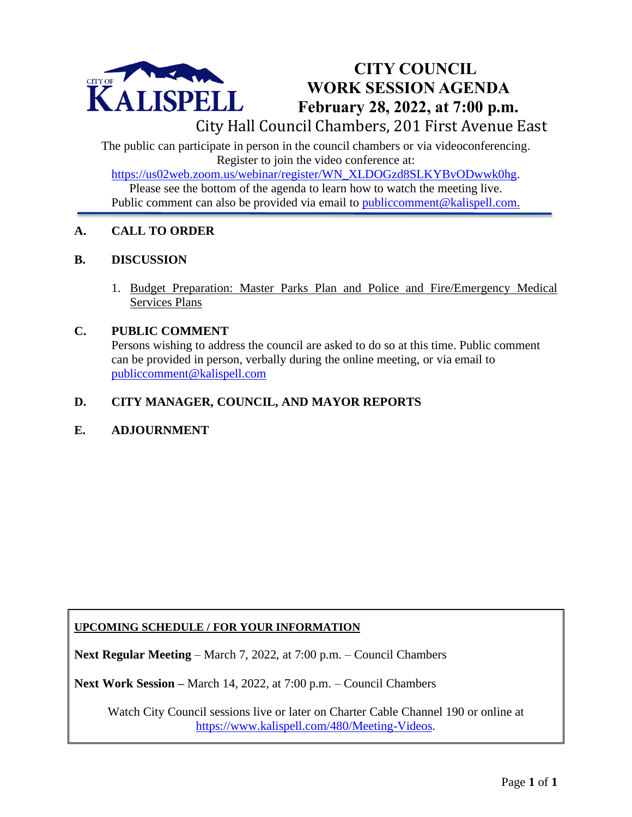

## **CITY COUNCIL WORK SESSION AGENDA February 28, 2022, at 7:00 p.m.**

City Hall Council Chambers, 201 First Avenue East

The public can participate in person in the council chambers or via videoconferencing. Register to join the video conference at:

[https://us02web.zoom.us/webinar/register/WN\\_XLDOGzd8SLKYBvODwwk0hg.](https://us02web.zoom.us/webinar/register/WN_XLDOGzd8SLKYBvODwwk0hg)

Please see the bottom of the agenda to learn how to watch the meeting live. Public comment can also be provided via email to public comment@kalispell.com.

### **A. CALL TO ORDER**

#### **B. DISCUSSION**

1. Budget Preparation: Master Parks Plan and Police and Fire/Emergency Medical Services Plans

#### **C. PUBLIC COMMENT**

Persons wishing to address the council are asked to do so at this time. Public comment can be [provided in person, verba](mailto:publiccomment@kalispell.com)lly during the online meeting, or via email to publiccomment@kalispell.com

#### **D. CITY MANAGER, COUNCIL, AND MAYOR REPORTS**

#### **E. ADJOURNMENT**

#### **UPCOMING SCHEDULE / FOR YOUR INFORMATION**

**Next Regular Meeting** – March 7, 2022, at 7:00 p.m. – Council Chambers

**Next Work Session –** March 14, 2022, at 7:00 p.m. – Council Chambers

Watch City Council sessions live or later on Charter Cable Channel 190 or online at [https://www.kalispell.com/480/Meeting-Videos.](https://www.kalispell.com/480/Meeting-Videos)